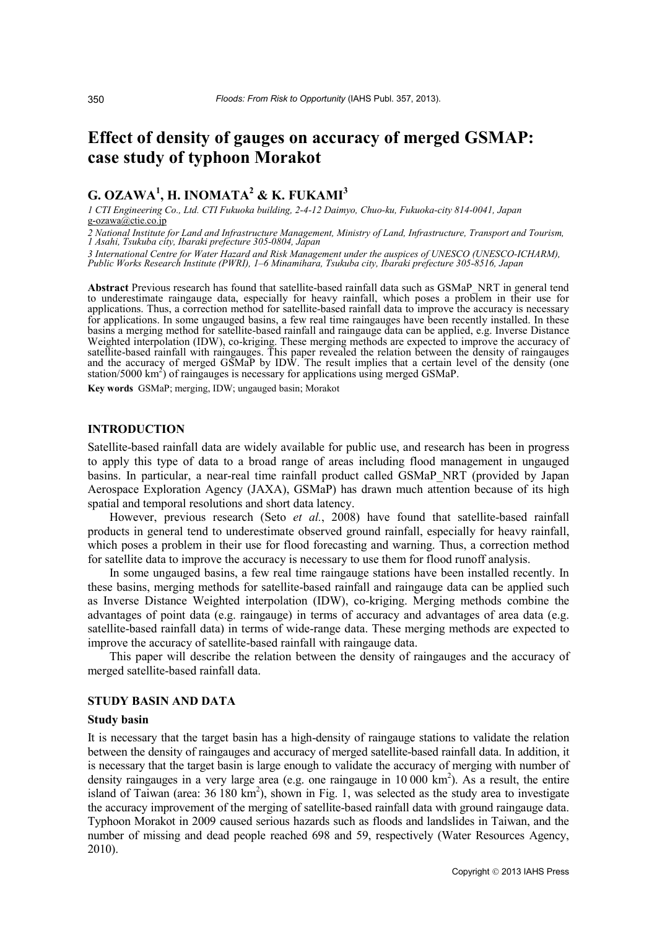# **Effect of density of gauges on accuracy of merged GSMAP: case study of typhoon Morakot**

## **G. OZAWA1 , H. INOMATA2 & K. FUKAMI<sup>3</sup>**

*1 CTI Engineering Co., Ltd. CTI Fukuoka building, 2-4-12 Daimyo, Chuo-ku, Fukuoka-city 814-0041, Japan* g-ozawa@ctie.co.jp

*<sup>2</sup> National Institute for Land and Infrastructure Management, Ministry of Land, Infrastructure, Transport and Tourism, 1 Asahi, Tsukuba city, Ibaraki prefecture 305-0804, Japan*

*3 International Centre for Water Hazard and Risk Management under the auspices of UNESCO (UNESCO-ICHARM), Public Works Research Institute (PWRI), 1–6 Minamihara, Tsukuba city, Ibaraki prefecture 305-8516, Japan*

**Abstract** Previous research has found that satellite-based rainfall data such as GSMaP\_NRT in general tend to underestimate raingauge data, especially for heavy rainfall, which poses a problem in their use for applications. Thus, a correction method for satellite-based rainfall data to improve the accuracy is necessary for applications. In some ungauged basins, a few real time raingauges have been recently installed. In these basins a merging method for satellite-based rainfall and raingauge data can be applied, e.g. Inverse Distance Weighted interpolation (IDW), co-kriging. These merging methods are expected to improve the accuracy of satellite-based rainfall with raingauges. This paper revealed the relation between the density of raingauges and the accuracy of merged GSMaP by IDW. The result implies that a certain level of the density (one station/5000 km<sup>2</sup>) of raingauges is necessary for applications using merged GSMaP.

**Key words** GSMaP; merging, IDW; ungauged basin; Morakot

#### **INTRODUCTION**

Satellite-based rainfall data are widely available for public use, and research has been in progress to apply this type of data to a broad range of areas including flood management in ungauged basins. In particular, a near-real time rainfall product called GSMaP\_NRT (provided by Japan Aerospace Exploration Agency (JAXA), GSMaP) has drawn much attention because of its high spatial and temporal resolutions and short data latency.

However, previous research (Seto *et al.*, 2008) have found that satellite-based rainfall products in general tend to underestimate observed ground rainfall, especially for heavy rainfall, which poses a problem in their use for flood forecasting and warning. Thus, a correction method for satellite data to improve the accuracy is necessary to use them for flood runoff analysis.

In some ungauged basins, a few real time raingauge stations have been installed recently. In these basins, merging methods for satellite-based rainfall and raingauge data can be applied such as Inverse Distance Weighted interpolation (IDW), co-kriging. Merging methods combine the advantages of point data (e.g. raingauge) in terms of accuracy and advantages of area data (e.g. satellite-based rainfall data) in terms of wide-range data. These merging methods are expected to improve the accuracy of satellite-based rainfall with raingauge data.

This paper will describe the relation between the density of raingauges and the accuracy of merged satellite-based rainfall data.

#### **STUDY BASIN AND DATA**

#### **Study basin**

It is necessary that the target basin has a high-density of raingauge stations to validate the relation between the density of raingauges and accuracy of merged satellite-based rainfall data. In addition, it is necessary that the target basin is large enough to validate the accuracy of merging with number of density raingauges in a very large area (e.g. one raingauge in  $10\,000\ \text{km}^2$ ). As a result, the entire island of Taiwan (area: 36 180 km<sup>2</sup>), shown in Fig. 1, was selected as the study area to investigate the accuracy improvement of the merging of satellite-based rainfall data with ground raingauge data. Typhoon Morakot in 2009 caused serious hazards such as floods and landslides in Taiwan, and the number of missing and dead people reached 698 and 59, respectively (Water Resources Agency, 2010).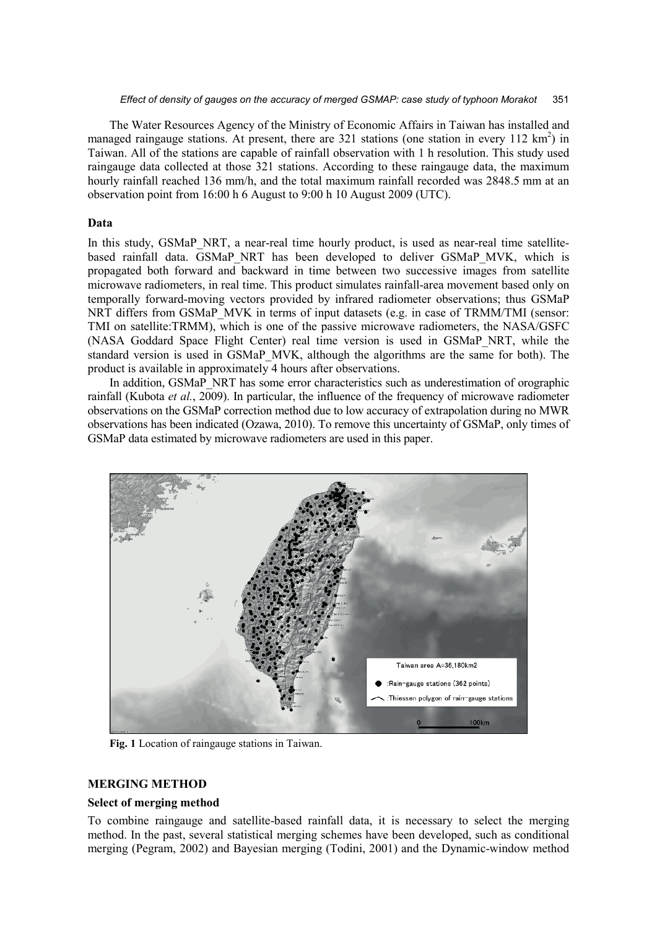#### *Effect of density of gauges on the accuracy of merged GSMAP: case study of typhoon Morakot* 351

The Water Resources Agency of the Ministry of Economic Affairs in Taiwan has installed and managed raingauge stations. At present, there are  $321$  stations (one station in every  $112 \text{ km}^2$ ) in Taiwan. All of the stations are capable of rainfall observation with 1 h resolution. This study used raingauge data collected at those 321 stations. According to these raingauge data, the maximum hourly rainfall reached 136 mm/h, and the total maximum rainfall recorded was 2848.5 mm at an observation point from 16:00 h 6 August to 9:00 h 10 August 2009 (UTC).

#### **Data**

In this study, GSMaP\_NRT, a near-real time hourly product, is used as near-real time satellitebased rainfall data. GSMaP\_NRT has been developed to deliver GSMaP\_MVK, which is propagated both forward and backward in time between two successive images from satellite microwave radiometers, in real time. This product simulates rainfall-area movement based only on temporally forward-moving vectors provided by infrared radiometer observations; thus GSMaP NRT differs from GSMaP\_MVK in terms of input datasets (e.g. in case of TRMM/TMI (sensor: TMI on satellite:TRMM), which is one of the passive microwave radiometers, the NASA/GSFC (NASA Goddard Space Flight Center) real time version is used in GSMaP\_NRT, while the standard version is used in GSMaP\_MVK, although the algorithms are the same for both). The product is available in approximately 4 hours after observations.

In addition, GSMaP\_NRT has some error characteristics such as underestimation of orographic rainfall (Kubota *et al.*, 2009). In particular, the influence of the frequency of microwave radiometer observations on the GSMaP correction method due to low accuracy of extrapolation during no MWR observations has been indicated (Ozawa, 2010). To remove this uncertainty of GSMaP, only times of GSMaP data estimated by microwave radiometers are used in this paper.



**Fig. 1** Location of raingauge stations in Taiwan.

## **MERGING METHOD**

#### **Select of merging method**

To combine raingauge and satellite-based rainfall data, it is necessary to select the merging method. In the past, several statistical merging schemes have been developed, such as conditional merging (Pegram, 2002) and Bayesian merging (Todini, 2001) and the Dynamic-window method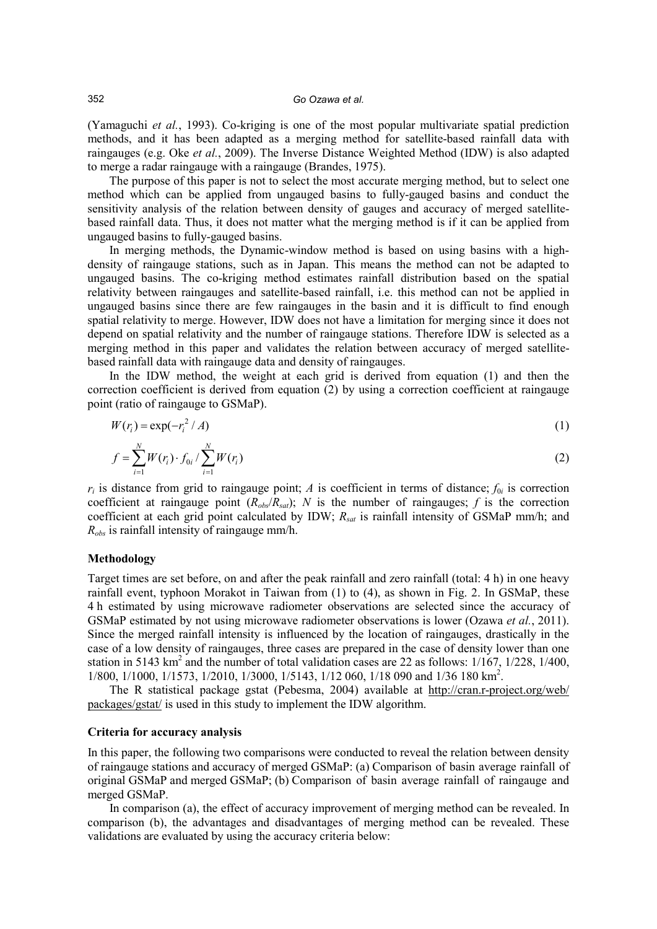(Yamaguchi *et al.*, 1993). Co-kriging is one of the most popular multivariate spatial prediction methods, and it has been adapted as a merging method for satellite-based rainfall data with raingauges (e.g. Oke *et al.*, 2009). The Inverse Distance Weighted Method (IDW) is also adapted to merge a radar raingauge with a raingauge (Brandes, 1975).

The purpose of this paper is not to select the most accurate merging method, but to select one method which can be applied from ungauged basins to fully-gauged basins and conduct the sensitivity analysis of the relation between density of gauges and accuracy of merged satellitebased rainfall data. Thus, it does not matter what the merging method is if it can be applied from ungauged basins to fully-gauged basins.

In merging methods, the Dynamic-window method is based on using basins with a highdensity of raingauge stations, such as in Japan. This means the method can not be adapted to ungauged basins. The co-kriging method estimates rainfall distribution based on the spatial relativity between raingauges and satellite-based rainfall, i.e. this method can not be applied in ungauged basins since there are few raingauges in the basin and it is difficult to find enough spatial relativity to merge. However, IDW does not have a limitation for merging since it does not depend on spatial relativity and the number of raingauge stations. Therefore IDW is selected as a merging method in this paper and validates the relation between accuracy of merged satellitebased rainfall data with raingauge data and density of raingauges.

In the IDW method, the weight at each grid is derived from equation (1) and then the correction coefficient is derived from equation (2) by using a correction coefficient at raingauge point (ratio of raingauge to GSMaP).

$$
W(r_i) = \exp(-r_i^2/A)
$$
 (1)

$$
f = \sum_{i=1}^{N} W(r_i) \cdot f_{0i} / \sum_{i=1}^{N} W(r_i)
$$
 (2)

 $r_i$  is distance from grid to raingauge point; *A* is coefficient in terms of distance;  $f_{0i}$  is correction coefficient at raingauge point  $(R_{obs}/R_{sat})$ ; *N* is the number of raingauges; *f* is the correction coefficient at each grid point calculated by IDW; *Rsat* is rainfall intensity of GSMaP mm/h; and *Robs* is rainfall intensity of raingauge mm/h.

#### **Methodology**

Target times are set before, on and after the peak rainfall and zero rainfall (total: 4 h) in one heavy rainfall event, typhoon Morakot in Taiwan from (1) to (4), as shown in Fig. 2. In GSMaP, these 4 h estimated by using microwave radiometer observations are selected since the accuracy of GSMaP estimated by not using microwave radiometer observations is lower (Ozawa *et al.*, 2011). Since the merged rainfall intensity is influenced by the location of raingauges, drastically in the case of a low density of raingauges, three cases are prepared in the case of density lower than one station in 5143 km<sup>2</sup> and the number of total validation cases are 22 as follows:  $1/167$ ,  $1/228$ ,  $1/400$ , 1/800, 1/1000, 1/1573, 1/2010, 1/3000, 1/5143, 1/12 060, 1/18 090 and 1/36 180 km<sup>2</sup>.

The R statistical package gstat (Pebesma, 2004) available at [http://cran.r-project.org/web/](http://cran.r-project.org/web/%0bpackages/gstat/) [packages/gstat/](http://cran.r-project.org/web/%0bpackages/gstat/) is used in this study to implement the IDW algorithm.

#### **Criteria for accuracy analysis**

In this paper, the following two comparisons were conducted to reveal the relation between density of raingauge stations and accuracy of merged GSMaP: (a) Comparison of basin average rainfall of original GSMaP and merged GSMaP; (b) Comparison of basin average rainfall of raingauge and merged GSMaP.

In comparison (a), the effect of accuracy improvement of merging method can be revealed. In comparison (b), the advantages and disadvantages of merging method can be revealed. These validations are evaluated by using the accuracy criteria below: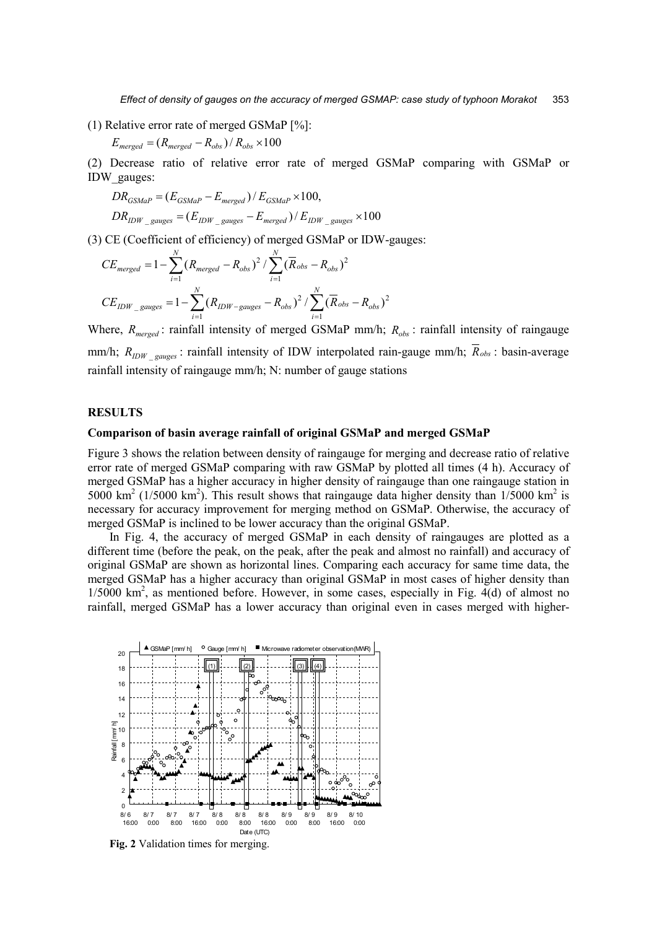(1) Relative error rate of merged GSMaP [%]:

$$
E_{merged} = (R_{merged} - R_{obs})/R_{obs} \times 100
$$

(2) Decrease ratio of relative error rate of merged GSMaP comparing with GSMaP or IDW\_gauges:

$$
DR_{GSMaP} = (E_{GSMaP} - E_{merged})/E_{GSMaP} \times 100,
$$
  

$$
DR_{IDW\_gauges} = (E_{IDW\_gauges} - E_{merged})/E_{IDW\_gauges} \times 100
$$

(3) CE (Coefficient of efficiency) of merged GSMaP or IDW-gauges:

$$
CE_{merged} = 1 - \sum_{i=1}^{N} (R_{merged} - R_{obs})^2 / \sum_{i=1}^{N} (\overline{R}_{obs} - R_{obs})^2
$$
  

$$
CE_{IDW\_gauges} = 1 - \sum_{i=1}^{N} (R_{IDW-gauges} - R_{obs})^2 / \sum_{i=1}^{N} (\overline{R}_{obs} - R_{obs})^2
$$

Where,  $R_{merged}$ : rainfall intensity of merged GSMaP mm/h;  $R_{obs}$ : rainfall intensity of raingauge mm/h;  $R_{IDW}$  <sub>gauges</sub>: rainfall intensity of IDW interpolated rain-gauge mm/h;  $\overline{R}_{obs}$ : basin-average rainfall intensity of raingauge mm/h; N: number of gauge stations

#### **RESULTS**

#### **Comparison of basin average rainfall of original GSMaP and merged GSMaP**

Figure 3 shows the relation between density of raingauge for merging and decrease ratio of relative error rate of merged GSMaP comparing with raw GSMaP by plotted all times (4 h). Accuracy of merged GSMaP has a higher accuracy in higher density of raingauge than one raingauge station in 5000 km<sup>2</sup> (1/5000 km<sup>2</sup>). This result shows that raingauge data higher density than  $1/5000$  km<sup>2</sup> is necessary for accuracy improvement for merging method on GSMaP. Otherwise, the accuracy of merged GSMaP is inclined to be lower accuracy than the original GSMaP.

In Fig. 4, the accuracy of merged GSMaP in each density of raingauges are plotted as a different time (before the peak, on the peak, after the peak and almost no rainfall) and accuracy of original GSMaP are shown as horizontal lines. Comparing each accuracy for same time data, the merged GSMaP has a higher accuracy than original GSMaP in most cases of higher density than 1/5000 km<sup>2</sup>, as mentioned before. However, in some cases, especially in Fig. 4(d) of almost no rainfall, merged GSMaP has a lower accuracy than original even in cases merged with higher-



**Fig. 2** Validation times for merging.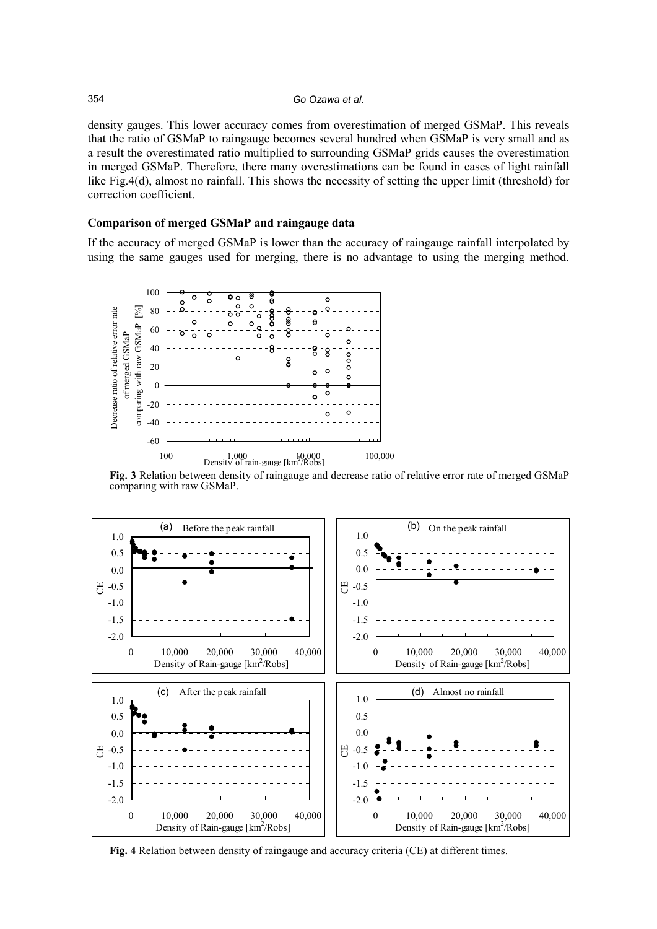density gauges. This lower accuracy comes from overestimation of merged GSMaP. This reveals that the ratio of GSMaP to raingauge becomes several hundred when GSMaP is very small and as a result the overestimated ratio multiplied to surrounding GSMaP grids causes the overestimation in merged GSMaP. Therefore, there many overestimations can be found in cases of light rainfall like Fig.4(d), almost no rainfall. This shows the necessity of setting the upper limit (threshold) for correction coefficient.

## **Comparison of merged GSMaP and raingauge data**

If the accuracy of merged GSMaP is lower than the accuracy of raingauge rainfall interpolated by using the same gauges used for merging, there is no advantage to using the merging method.

![](_page_4_Figure_4.jpeg)

**Fig. 3** Relation between density of raingauge and decrease ratio of relative error rate of merged GSMaP comparing with raw GSMaP.

![](_page_4_Figure_6.jpeg)

**Fig. 4** Relation between density of raingauge and accuracy criteria (CE) at different times.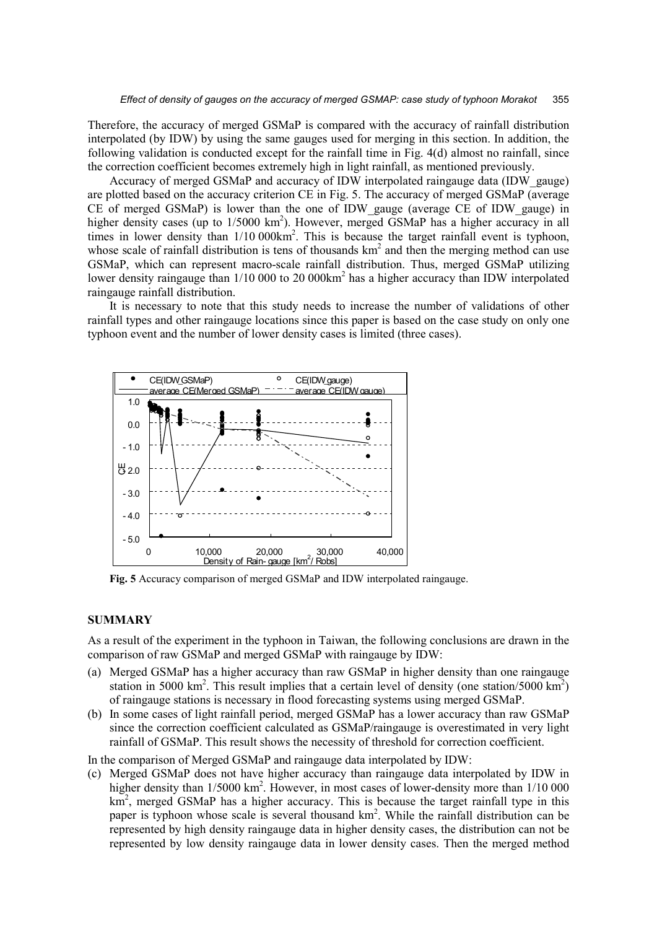Therefore, the accuracy of merged GSMaP is compared with the accuracy of rainfall distribution interpolated (by IDW) by using the same gauges used for merging in this section. In addition, the following validation is conducted except for the rainfall time in Fig. 4(d) almost no rainfall, since the correction coefficient becomes extremely high in light rainfall, as mentioned previously.

Accuracy of merged GSMaP and accuracy of IDW interpolated raingauge data (IDW\_gauge) are plotted based on the accuracy criterion CE in Fig. 5. The accuracy of merged GSMaP (average CE of merged GSMaP) is lower than the one of IDW\_gauge (average CE of IDW\_gauge) in higher density cases (up to  $1/5000 \text{ km}^2$ ). However, merged GSMaP has a higher accuracy in all times in lower density than  $1/10000 \text{km}^2$ . This is because the target rainfall event is typhoon, whose scale of rainfall distribution is tens of thousands  $km<sup>2</sup>$  and then the merging method can use GSMaP, which can represent macro-scale rainfall distribution. Thus, merged GSMaP utilizing lower density raingauge than 1/10 000 to 20 000km<sup>2</sup> has a higher accuracy than IDW interpolated raingauge rainfall distribution.

It is necessary to note that this study needs to increase the number of validations of other rainfall types and other raingauge locations since this paper is based on the case study on only one typhoon event and the number of lower density cases is limited (three cases).

![](_page_5_Figure_4.jpeg)

**Fig. 5** Accuracy comparison of merged GSMaP and IDW interpolated raingauge.

### **SUMMARY**

As a result of the experiment in the typhoon in Taiwan, the following conclusions are drawn in the comparison of raw GSMaP and merged GSMaP with raingauge by IDW:

- (a) Merged GSMaP has a higher accuracy than raw GSMaP in higher density than one raingauge station in 5000 km<sup>2</sup>. This result implies that a certain level of density (one station/5000 km<sup>2</sup>) of raingauge stations is necessary in flood forecasting systems using merged GSMaP.
- (b) In some cases of light rainfall period, merged GSMaP has a lower accuracy than raw GSMaP since the correction coefficient calculated as GSMaP/raingauge is overestimated in very light rainfall of GSMaP. This result shows the necessity of threshold for correction coefficient.

In the comparison of Merged GSMaP and raingauge data interpolated by IDW:

(c) Merged GSMaP does not have higher accuracy than raingauge data interpolated by IDW in higher density than 1/5000 km<sup>2</sup>. However, in most cases of lower-density more than 1/10 000  $km<sup>2</sup>$ , merged GSMaP has a higher accuracy. This is because the target rainfall type in this paper is typhoon whose scale is several thousand km<sup>2</sup>. While the rainfall distribution can be represented by high density raingauge data in higher density cases, the distribution can not be represented by low density raingauge data in lower density cases. Then the merged method